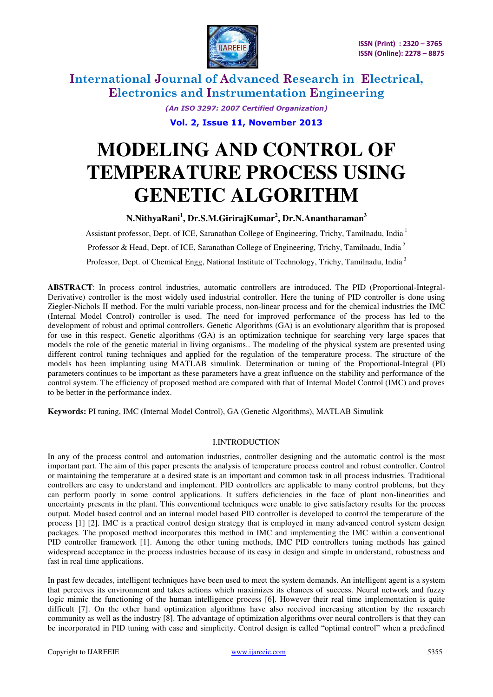

> *(An ISO 3297: 2007 Certified Organization)*  **Vol. 2, Issue 11, November 2013**

# **MODELING AND CONTROL OF TEMPERATURE PROCESS USING GENETIC ALGORITHM**

# **N.NithyaRani<sup>1</sup> , Dr.S.M.GirirajKumar<sup>2</sup> , Dr.N.Anantharaman<sup>3</sup>**

Assistant professor, Dept. of ICE, Saranathan College of Engineering, Trichy, Tamilnadu, India<sup>1</sup> Professor & Head, Dept. of ICE, Saranathan College of Engineering, Trichy, Tamilnadu, India<sup>2</sup> Professor, Dept. of Chemical Engg, National Institute of Technology, Trichy, Tamilnadu, India<sup>3</sup>

**ABSTRACT**: In process control industries, automatic controllers are introduced. The PID (Proportional-Integral-Derivative) controller is the most widely used industrial controller. Here the tuning of PID controller is done using Ziegler-Nichols II method. For the multi variable process, non-linear process and for the chemical industries the IMC (Internal Model Control) controller is used. The need for improved performance of the process has led to the development of robust and optimal controllers. Genetic Algorithms (GA) is an evolutionary algorithm that is proposed for use in this respect. Genetic algorithms (GA) is an optimization technique for searching very large spaces that models the role of the genetic material in living organisms.. The modeling of the physical system are presented using different control tuning techniques and applied for the regulation of the temperature process. The structure of the models has been implanting using MATLAB simulink. Determination or tuning of the Proportional-Integral (PI) parameters continues to be important as these parameters have a great influence on the stability and performance of the control system. The efficiency of proposed method are compared with that of Internal Model Control (IMC) and proves to be better in the performance index.

**Keywords:** PI tuning, IMC (Internal Model Control), GA (Genetic Algorithms), MATLAB Simulink

# I.INTRODUCTION

In any of the process control and automation industries, controller designing and the automatic control is the most important part. The aim of this paper presents the analysis of temperature process control and robust controller. Control or maintaining the temperature at a desired state is an important and common task in all process industries. Traditional controllers are easy to understand and implement. PID controllers are applicable to many control problems, but they can perform poorly in some control applications. It suffers deficiencies in the face of plant non-linearities and uncertainty presents in the plant. This conventional techniques were unable to give satisfactory results for the process output. Model based control and an internal model based PID controller is developed to control the temperature of the process [1] [2]. IMC is a practical control design strategy that is employed in many advanced control system design packages. The proposed method incorporates this method in IMC and implementing the IMC within a conventional PID controller framework [1]. Among the other tuning methods, IMC PID controllers tuning methods has gained widespread acceptance in the process industries because of its easy in design and simple in understand, robustness and fast in real time applications.

In past few decades, intelligent techniques have been used to meet the system demands. An intelligent agent is a system that perceives its environment and takes actions which maximizes its chances of success. Neural network and fuzzy logic mimic the functioning of the human intelligence process [6]. However their real time implementation is quite difficult [7]. On the other hand optimization algorithms have also received increasing attention by the research community as well as the industry [8]. The advantage of optimization algorithms over neural controllers is that they can be incorporated in PID tuning with ease and simplicity. Control design is called "optimal control" when a predefined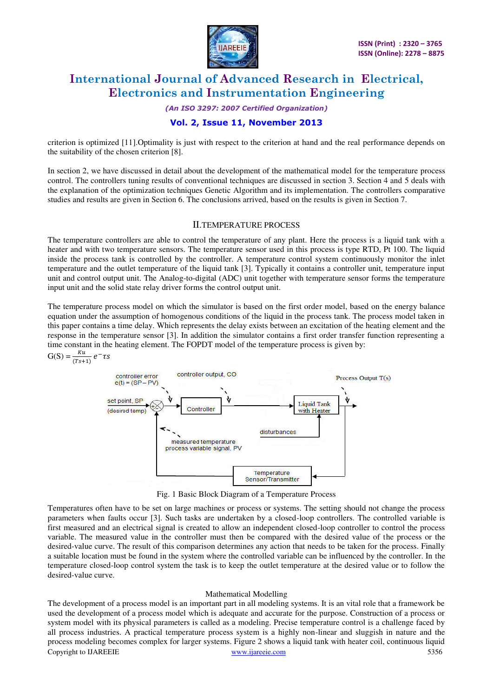

#### *(An ISO 3297: 2007 Certified Organization)*

# **Vol. 2, Issue 11, November 2013**

criterion is optimized [11].Optimality is just with respect to the criterion at hand and the real performance depends on the suitability of the chosen criterion [8].

In section 2, we have discussed in detail about the development of the mathematical model for the temperature process control. The controllers tuning results of conventional techniques are discussed in section 3. Section 4 and 5 deals with the explanation of the optimization techniques Genetic Algorithm and its implementation. The controllers comparative studies and results are given in Section 6. The conclusions arrived, based on the results is given in Section 7.

### II.TEMPERATURE PROCESS

The temperature controllers are able to control the temperature of any plant. Here the process is a liquid tank with a heater and with two temperature sensors. The temperature sensor used in this process is type RTD, Pt 100. The liquid inside the process tank is controlled by the controller. A temperature control system continuously monitor the inlet temperature and the outlet temperature of the liquid tank [3]. Typically it contains a controller unit, temperature input unit and control output unit. The Analog-to-digital (ADC) unit together with temperature sensor forms the temperature input unit and the solid state relay driver forms the control output unit.

The temperature process model on which the simulator is based on the first order model, based on the energy balance equation under the assumption of homogenous conditions of the liquid in the process tank. The process model taken in this paper contains a time delay. Which represents the delay exists between an excitation of the heating element and the response in the temperature sensor [3]. In addition the simulator contains a first order transfer function representing a time constant in the heating element. The FOPDT model of the temperature process is given by:

 $G(S) = \frac{K a}{(Ts+1)} e^{-t}$ 



Fig. 1 Basic Block Diagram of a Temperature Process

Temperatures often have to be set on large machines or process or systems. The setting should not change the process parameters when faults occur [3]. Such tasks are undertaken by a closed-loop controllers. The controlled variable is first measured and an electrical signal is created to allow an independent closed-loop controller to control the process variable. The measured value in the controller must then be compared with the desired value of the process or the desired-value curve. The result of this comparison determines any action that needs to be taken for the process. Finally a suitable location must be found in the system where the controlled variable can be influenced by the controller. In the temperature closed-loop control system the task is to keep the outlet temperature at the desired value or to follow the desired-value curve.

### Mathematical Modelling

Copyright to IJAREEIE www.ijareeie.com 5356 The development of a process model is an important part in all modeling systems. It is an vital role that a framework be used the development of a process model which is adequate and accurate for the purpose. Construction of a process or system model with its physical parameters is called as a modeling. Precise temperature control is a challenge faced by all process industries. A practical temperature process system is a highly non-linear and sluggish in nature and the process modeling becomes complex for larger systems. Figure 2 shows a liquid tank with heater coil, continuous liquid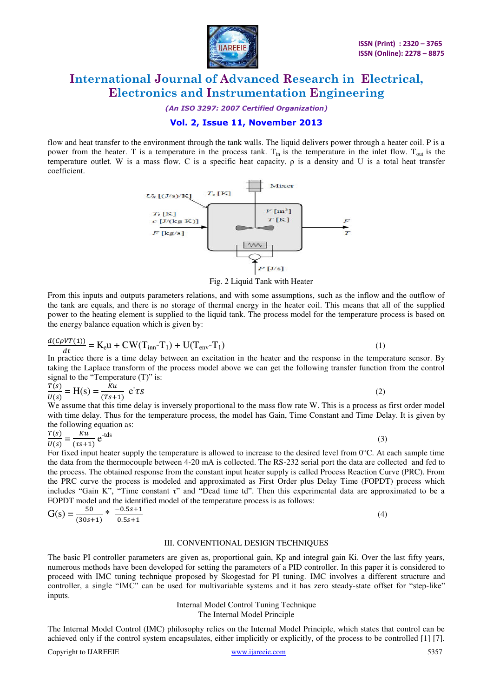

*(An ISO 3297: 2007 Certified Organization)* 

# **Vol. 2, Issue 11, November 2013**

flow and heat transfer to the environment through the tank walls. The liquid delivers power through a heater coil. P is a power from the heater. T is a temperature in the process tank.  $T_{in}$  is the temperature in the inlet flow.  $T_{out}$  is the temperature outlet. W is a mass flow. C is a specific heat capacity. ρ is a density and U is a total heat transfer coefficient.



Fig. 2 Liquid Tank with Heater

From this inputs and outputs parameters relations, and with some assumptions, such as the inflow and the outflow of the tank are equals, and there is no storage of thermal energy in the heater coil. This means that all of the supplied power to the heating element is supplied to the liquid tank. The process model for the temperature process is based on the energy balance equation which is given by:

$$
\frac{d(C\rho VT(1))}{dt} = \mathbf{K}_{\rm e} \mathbf{u} + \mathbf{CW}(\mathbf{T}_{\rm inn} - \mathbf{T}_{\rm 1}) + \mathbf{U}(\mathbf{T}_{\rm env} - \mathbf{T}_{\rm 1})\tag{1}
$$

In practice there is a time delay between an excitation in the heater and the response in the temperature sensor. By taking the Laplace transform of the process model above we can get the following transfer function from the control signal to the "Temperature  $(T)$ " is:

$$
\frac{T(s)}{U(s)} = H(s) = \frac{ku}{(Ts+1)} e^{\tau} \tau s
$$
\n(2)

We assume that this time delay is inversely proportional to the mass flow rate W. This is a process as first order model with time delay. Thus for the temperature process, the model has Gain, Time Constant and Time Delay. It is given by the following equation as:

$$
\frac{T(s)}{U(s)} = \frac{Ku}{(\tau s + 1)} e^{-tds}
$$
 (3)

For fixed input heater supply the temperature is allowed to increase to the desired level from  $0^{\circ}$ C. At each sample time the data from the thermocouple between 4-20 mA is collected. The RS-232 serial port the data are collected and fed to the process. The obtained response from the constant input heater supply is called Process Reaction Curve (PRC). From the PRC curve the process is modeled and approximated as First Order plus Delay Time (FOPDT) process which includes "Gain K", "Time constant τ" and "Dead time td". Then this experimental data are approximated to be a FOPDT model and the identified model of the temperature process is as follows:

$$
G(s) = \frac{50}{(30s+1)} * \frac{-0.5s+1}{0.5s+1}
$$
 (4)

### III. CONVENTIONAL DESIGN TECHNIQUES

The basic PI controller parameters are given as, proportional gain, Kp and integral gain Ki. Over the last fifty years, numerous methods have been developed for setting the parameters of a PID controller. In this paper it is considered to proceed with IMC tuning technique proposed by Skogestad for PI tuning. IMC involves a different structure and controller, a single "IMC" can be used for multivariable systems and it has zero steady-state offset for "step-like" inputs.

> Internal Model Control Tuning Technique The Internal Model Principle

The Internal Model Control (IMC) philosophy relies on the Internal Model Principle, which states that control can be achieved only if the control system encapsulates, either implicitly or explicitly, of the process to be controlled [1] [7].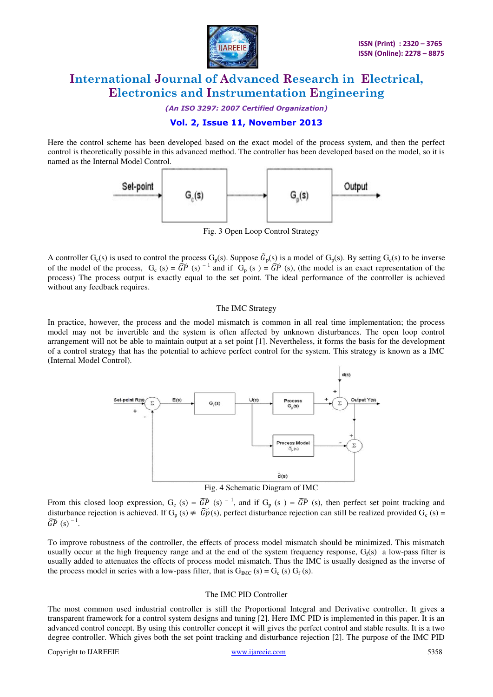

*(An ISO 3297: 2007 Certified Organization)* 

# **Vol. 2, Issue 11, November 2013**

Here the control scheme has been developed based on the exact model of the process system, and then the perfect control is theoretically possible in this advanced method. The controller has been developed based on the model, so it is named as the Internal Model Control.



Fig. 3 Open Loop Control Strategy

A controller G<sub>c</sub>(s) is used to control the process G<sub>p</sub>(s). Suppose  $G_p(s)$  is a model of G<sub>p</sub>(s). By setting G<sub>c</sub>(s) to be inverse of the model of the process,  $G_c$  (s) =  $\widetilde{GP}$  (s)  $^{-1}$  and if  $G_p$  (s) =  $\widetilde{GP}$  (s), (the model is an exact representation of the process) The process output is exactly equal to the set point. The ideal performance of the controller is achieved without any feedback requires.

### The IMC Strategy

In practice, however, the process and the model mismatch is common in all real time implementation; the process model may not be invertible and the system is often affected by unknown disturbances. The open loop control arrangement will not be able to maintain output at a set point [1]. Nevertheless, it forms the basis for the development of a control strategy that has the potential to achieve perfect control for the system. This strategy is known as a IMC (Internal Model Control).



Fig. 4 Schematic Diagram of IMC

From this closed loop expression,  $G_c$  (s) =  $\widetilde{GP}$  (s)  $^{-1}$ , and if  $G_p$  (s) =  $\widetilde{GP}$  (s), then perfect set point tracking and disturbance rejection is achieved. If  $G_p(s) \neq \widehat{Gp}(s)$ , perfect disturbance rejection can still be realized provided  $G_c(s)$  =  $\widetilde{GP}(s)^{-1}$ .

To improve robustness of the controller, the effects of process model mismatch should be minimized. This mismatch usually occur at the high frequency range and at the end of the system frequency response,  $G_f(s)$  a low-pass filter is usually added to attenuates the effects of process model mismatch. Thus the IMC is usually designed as the inverse of the process model in series with a low-pass filter, that is  $G_{\text{IMC}}(s) = G_c(s) G_f(s)$ .

### The IMC PID Controller

The most common used industrial controller is still the Proportional Integral and Derivative controller. It gives a transparent framework for a control system designs and tuning [2]. Here IMC PID is implemented in this paper. It is an advanced control concept. By using this controller concept it will gives the perfect control and stable results. It is a two degree controller. Which gives both the set point tracking and disturbance rejection [2]. The purpose of the IMC PID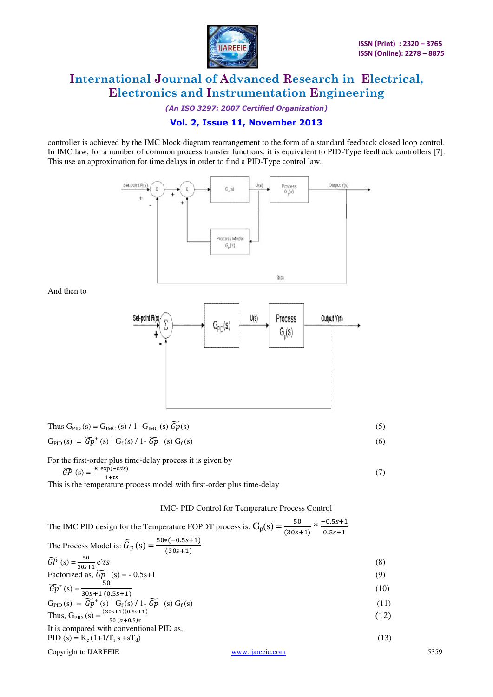

*(An ISO 3297: 2007 Certified Organization)* 

# **Vol. 2, Issue 11, November 2013**

controller is achieved by the IMC block diagram rearrangement to the form of a standard feedback closed loop control. In IMC law, for a number of common process transfer functions, it is equivalent to PID-Type feedback controllers [7]. This use an approximation for time delays in order to find a PID-Type control law.



Thus 
$$
G_{PID}(s) = G_{IMC}(s) / 1 - G_{IMC}(s) \widetilde{Gp}(s)
$$
  
\n $G_{PID}(s) = \widetilde{Gp}^+(s)^{-1} G_f(s) / 1 - \widetilde{Gp}^-(s) G_f(s)$ \n(6)

For the first-order plus time-delay process it is given by

 $\widehat{GP}(s) = \frac{K \exp(s)}{1}$  $(7)$ 

And then to

This is the temperature process model with first-order plus time-delay

### IMC- PID Control for Temperature Process Control

| The IMC PID design for the Temperature FOPDT process is: $G_p(s) = \frac{50}{(30s+1)} * \frac{-0.5s+1}{0.5s+1}$ |                  |      |      |
|-----------------------------------------------------------------------------------------------------------------|------------------|------|------|
| The Process Model is: $\tilde{G}_p(s) = \frac{50*(-0.5s+1)}{(30s+1)}$                                           |                  |      |      |
| $\widetilde{GP}(s) = \frac{50}{30s+1} e^{\tau}rs$<br>Factorized as, $\widetilde{Gp}^-(s) = -0.5s+1$             |                  | (8)  |      |
|                                                                                                                 |                  | (9)  |      |
| $\widetilde{G}p^+(s) = \frac{50}{30s+1(0.5s+1)}$                                                                |                  | (10) |      |
| $G_{PID}(s) = \widetilde{Gp}^+(s)^{-1} G_f(s) / 1 - \widetilde{Gp}^-(s) G_f(s)$                                 |                  | (11) |      |
| Thus, $G_{PID} (s) = \frac{(30s+1)(0.5s+1)}{50 (\alpha+0.5)s}$                                                  |                  | (12) |      |
| It is compared with conventional PID as,                                                                        |                  |      |      |
| PID (s) = $K_c(1+1/T_i s + sT_d)$                                                                               |                  | (13) |      |
| Copyright to IJAREEIE                                                                                           | www.ijareeie.com |      | 5359 |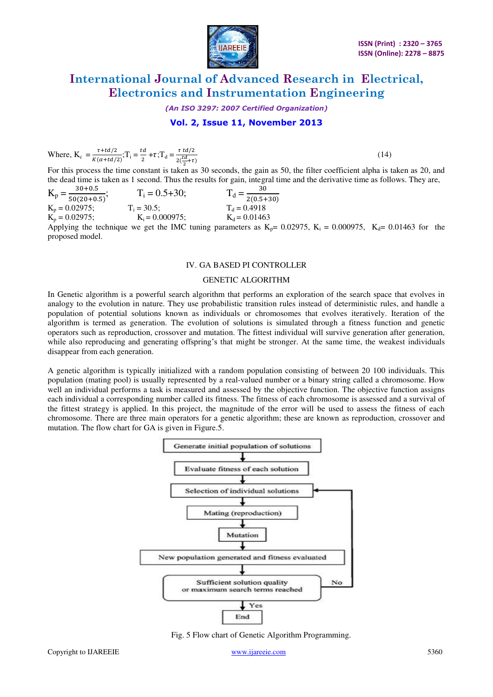

*(An ISO 3297: 2007 Certified Organization)* 

# **Vol. 2, Issue 11, November 2013**

Where,  $K_c = \frac{\tau}{\nu G}$  $\frac{\tau + td/2}{K(\alpha + td/2)}$ ; T<sub>i</sub> =  $\frac{t}{2}$  $\frac{d}{2}$  +  $\tau$ ; T<sub>d</sub> =  $\frac{\tau}{2(}$  $2(\frac{m}{2})$ 

 $(14)$ 

For this process the time constant is taken as 30 seconds, the gain as 50, the filter coefficient alpha is taken as 20, and the dead time is taken as 1 second. Thus the results for gain, integral time and the derivative time as follows. They are,

| $30 + 0.5$<br>$K_p = \frac{3816.5}{50(20+0.5)}$ ; | $T_i = 0.5 + 30;$  | 30<br>$T_d = \frac{56}{2(0.5+30)}$ |
|---------------------------------------------------|--------------------|------------------------------------|
| $K_p = 0.02975$ ;                                 | $T_i = 30.5$ ;     | $T_d = 0.4918$                     |
| $K_p = 0.02975$ ;                                 | $K_i = 0.000975$ ; | $K_d = 0.01463$                    |
|                                                   |                    |                                    |

Applying the technique we get the IMC tuning parameters as  $K_p$  = 0.02975,  $K_i$  = 0.000975,  $K_d$  = 0.01463 for the proposed model.

#### IV. GA BASED PI CONTROLLER

#### GENETIC ALGORITHM

In Genetic algorithm is a powerful search algorithm that performs an exploration of the search space that evolves in analogy to the evolution in nature. They use probabilistic transition rules instead of deterministic rules, and handle a population of potential solutions known as individuals or chromosomes that evolves iteratively. Iteration of the algorithm is termed as generation. The evolution of solutions is simulated through a fitness function and genetic operators such as reproduction, crossover and mutation. The fittest individual will survive generation after generation, while also reproducing and generating offspring's that might be stronger. At the same time, the weakest individuals disappear from each generation.

A genetic algorithm is typically initialized with a random population consisting of between 20 100 individuals. This population (mating pool) is usually represented by a real-valued number or a binary string called a chromosome. How well an individual performs a task is measured and assessed by the objective function. The objective function assigns each individual a corresponding number called its fitness. The fitness of each chromosome is assessed and a survival of the fittest strategy is applied. In this project, the magnitude of the error will be used to assess the fitness of each chromosome. There are three main operators for a genetic algorithm; these are known as reproduction, crossover and mutation. The flow chart for GA is given in Figure.5.



Fig. 5 Flow chart of Genetic Algorithm Programming.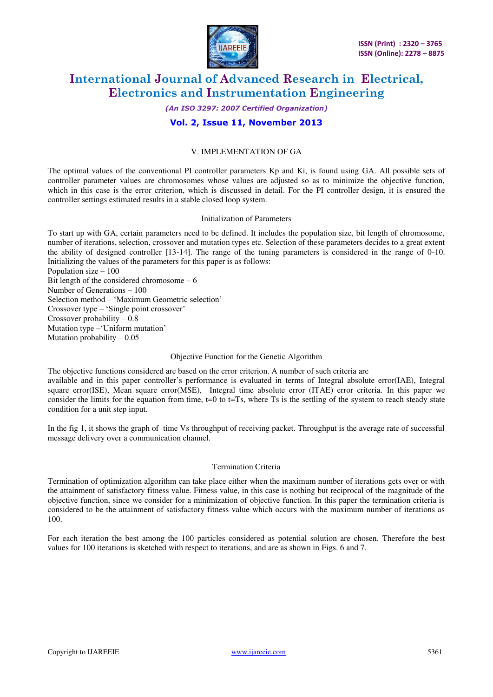

## *(An ISO 3297: 2007 Certified Organization)*

# **Vol. 2, Issue 11, November 2013**

# V. IMPLEMENTATION OF GA

The optimal values of the conventional PI controller parameters Kp and Ki, is found using GA. All possible sets of controller parameter values are chromosomes whose values are adjusted so as to minimize the objective function, which in this case is the error criterion, which is discussed in detail. For the PI controller design, it is ensured the controller settings estimated results in a stable closed loop system.

#### Initialization of Parameters

To start up with GA, certain parameters need to be defined. It includes the population size, bit length of chromosome, number of iterations, selection, crossover and mutation types etc. Selection of these parameters decides to a great extent the ability of designed controller [13-14]. The range of the tuning parameters is considered in the range of 0-10. Initializing the values of the parameters for this paper is as follows:

Population size – 100 Bit length of the considered chromosome – 6 Number of Generations – 100 Selection method – 'Maximum Geometric selection' Crossover type – 'Single point crossover' Crossover probability – 0.8 Mutation type –'Uniform mutation' Mutation probability  $-0.05$ 

### Objective Function for the Genetic Algorithm

The objective functions considered are based on the error criterion. A number of such criteria are available and in this paper controller's performance is evaluated in terms of Integral absolute error(IAE), Integral square error(ISE), Mean square error(MSE), Integral time absolute error (ITAE) error criteria. In this paper we consider the limits for the equation from time,  $t=0$  to  $t=Ts$ , where Ts is the settling of the system to reach steady state condition for a unit step input.

In the fig 1, it shows the graph of time Vs throughput of receiving packet. Throughput is the average rate of successful message delivery over a communication channel.

### Termination Criteria

Termination of optimization algorithm can take place either when the maximum number of iterations gets over or with the attainment of satisfactory fitness value. Fitness value, in this case is nothing but reciprocal of the magnitude of the objective function, since we consider for a minimization of objective function. In this paper the termination criteria is considered to be the attainment of satisfactory fitness value which occurs with the maximum number of iterations as 100.

For each iteration the best among the 100 particles considered as potential solution are chosen. Therefore the best values for 100 iterations is sketched with respect to iterations, and are as shown in Figs. 6 and 7.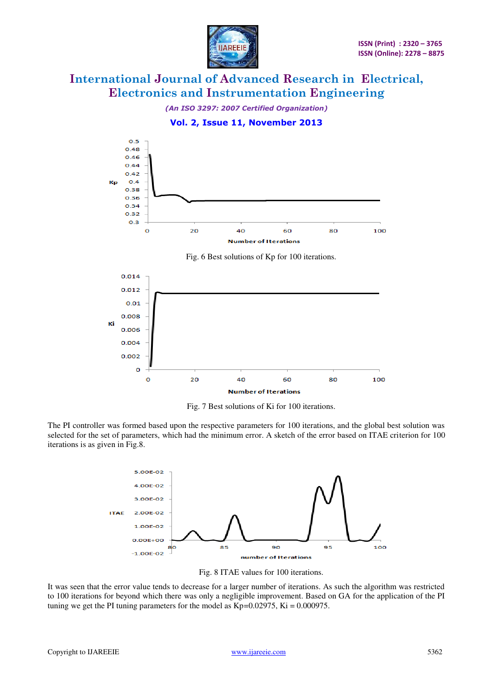



Fig. 6 Best solutions of Kp for 100 iterations.



Fig. 7 Best solutions of Ki for 100 iterations.

The PI controller was formed based upon the respective parameters for 100 iterations, and the global best solution was selected for the set of parameters, which had the minimum error. A sketch of the error based on ITAE criterion for 100 iterations is as given in Fig.8.



Fig. 8 ITAE values for 100 iterations.

It was seen that the error value tends to decrease for a larger number of iterations. As such the algorithm was restricted to 100 iterations for beyond which there was only a negligible improvement. Based on GA for the application of the PI tuning we get the PI tuning parameters for the model as  $Kp=0.02975$ ,  $Ki = 0.000975$ .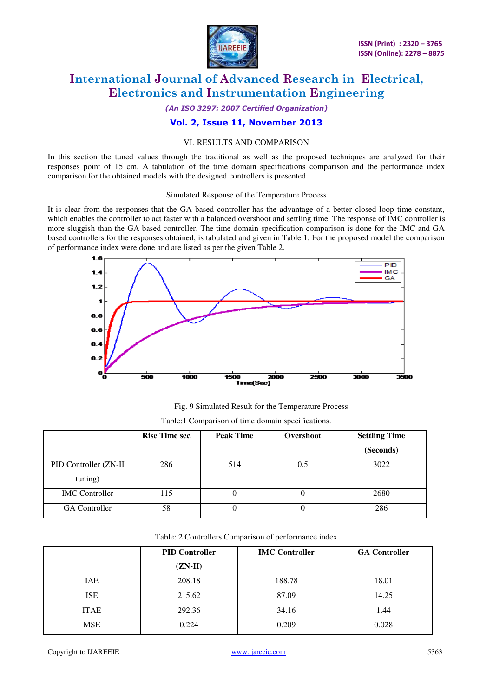

*(An ISO 3297: 2007 Certified Organization)* 

**Vol. 2, Issue 11, November 2013** 

## VI. RESULTS AND COMPARISON

In this section the tuned values through the traditional as well as the proposed techniques are analyzed for their responses point of 15 cm. A tabulation of the time domain specifications comparison and the performance index comparison for the obtained models with the designed controllers is presented.

#### Simulated Response of the Temperature Process

It is clear from the responses that the GA based controller has the advantage of a better closed loop time constant, which enables the controller to act faster with a balanced overshoot and settling time. The response of IMC controller is more sluggish than the GA based controller. The time domain specification comparison is done for the IMC and GA based controllers for the responses obtained, is tabulated and given in Table 1. For the proposed model the comparison of performance index were done and are listed as per the given Table 2.



Fig. 9 Simulated Result for the Temperature Process

Table:1 Comparison of time domain specifications.

|                       | <b>Rise Time sec</b> | <b>Peak Time</b> | Overshoot | <b>Settling Time</b> |  |
|-----------------------|----------------------|------------------|-----------|----------------------|--|
|                       |                      |                  |           | (Seconds)            |  |
| PID Controller (ZN-II | 286                  | 514              | 0.5       | 3022                 |  |
| tuning)               |                      |                  |           |                      |  |
| <b>IMC</b> Controller | 115                  |                  |           | 2680                 |  |
| <b>GA</b> Controller  | 58                   |                  |           | 286                  |  |

|  |  | Table: 2 Controllers Comparison of performance index |
|--|--|------------------------------------------------------|
|  |  |                                                      |

|             | <b>PID Controller</b> | <b>IMC Controller</b> | <b>GA Controller</b> |
|-------------|-----------------------|-----------------------|----------------------|
|             | $(ZN-II)$             |                       |                      |
| IAE         | 208.18                | 188.78                | 18.01                |
| <b>ISE</b>  | 215.62                | 87.09                 | 14.25                |
| <b>ITAE</b> | 292.36                | 34.16                 | 1.44                 |
| <b>MSE</b>  | 0.224                 | 0.209                 | 0.028                |